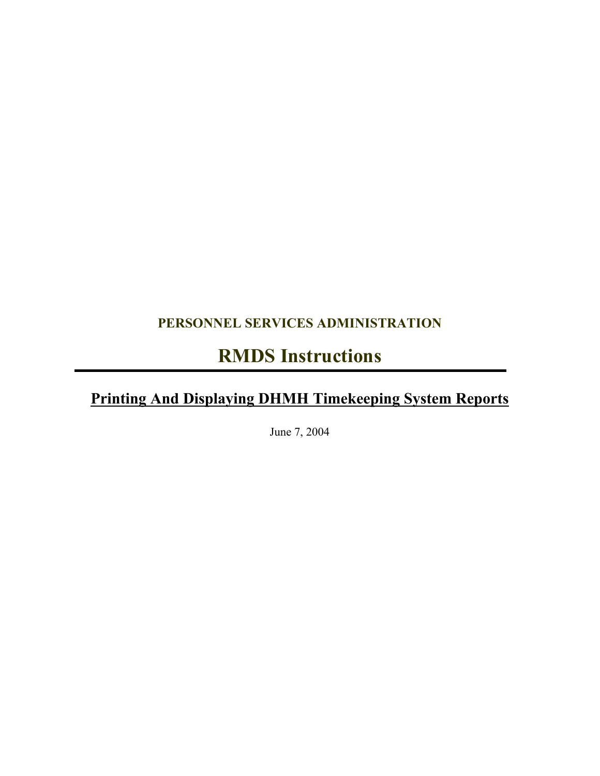## **PERSONNEL SERVICES ADMINISTRATION**

## **RMDS Instructions**

## **Printing And Displaying DHMH Timekeeping System Reports**

June 7, 2004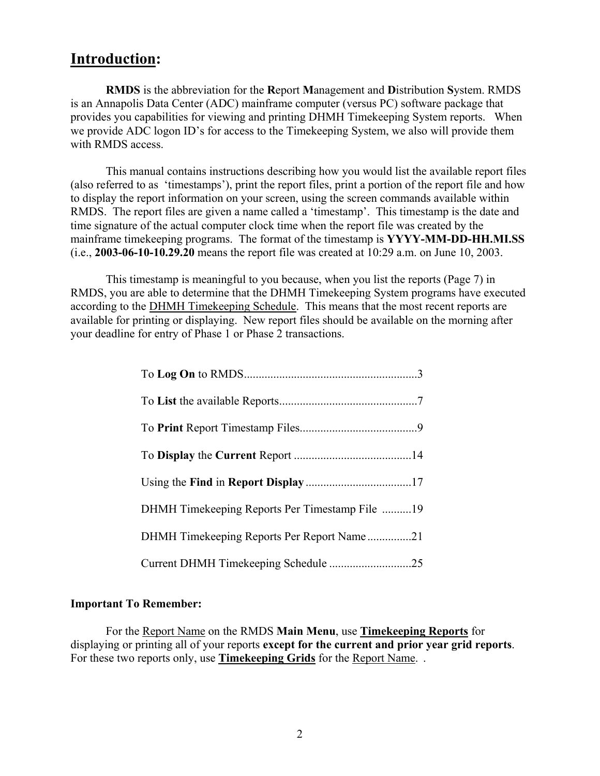### **Introduction:**

**RMDS** is the abbreviation for the **R**eport **M**anagement and **D**istribution **S**ystem. RMDS is an Annapolis Data Center (ADC) mainframe computer (versus PC) software package that provides you capabilities for viewing and printing DHMH Timekeeping System reports. When we provide ADC logon ID's for access to the Timekeeping System, we also will provide them with RMDS access.

This manual contains instructions describing how you would list the available report files (also referred to as 'timestamps'), print the report files, print a portion of the report file and how to display the report information on your screen, using the screen commands available within RMDS. The report files are given a name called a 'timestamp'. This timestamp is the date and time signature of the actual computer clock time when the report file was created by the mainframe timekeeping programs. The format of the timestamp is **YYYY-MM-DD-HH.MI.SS**  (i.e., **2003-06-10-10.29.20** means the report file was created at 10:29 a.m. on June 10, 2003.

This timestamp is meaningful to you because, when you list the reports (Page 7) in RMDS, you are able to determine that the DHMH Timekeeping System programs have executed according to the DHMH Timekeeping Schedule. This means that the most recent reports are available for printing or displaying. New report files should be available on the morning after your deadline for entry of Phase 1 or Phase 2 transactions.

| DHMH Timekeeping Reports Per Report Name21 |
|--------------------------------------------|
|                                            |

### **Important To Remember:**

For the Report Name on the RMDS **Main Menu**, use **Timekeeping Reports** for displaying or printing all of your reports **except for the current and prior year grid reports**. For these two reports only, use **Timekeeping Grids** for the Report Name. .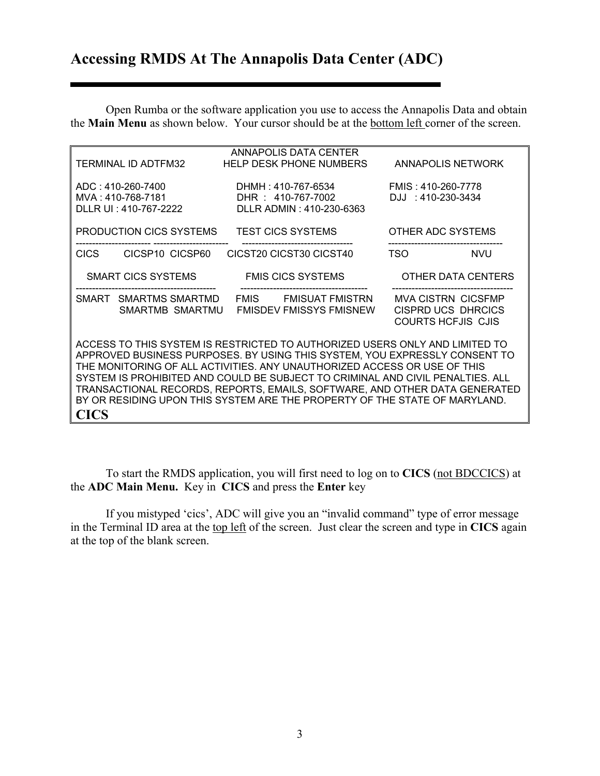## **Accessing RMDS At The Annapolis Data Center (ADC)**

the Main Menu as shown below. Your cursor should be at the **bottom left** corner of the screen. Open Rumba or the software application you use to access the Annapolis Data and obtain

|                                                                 | TERMINAL ID ADTFM32                      | ANNAPOLIS DATA CENTER<br><b>HELP DESK PHONE NUMBERS</b>                                                                                                                                                                                                                                                                                                                                                                                                                             | <b>ANNAPOLIS NETWORK</b>                                                            |
|-----------------------------------------------------------------|------------------------------------------|-------------------------------------------------------------------------------------------------------------------------------------------------------------------------------------------------------------------------------------------------------------------------------------------------------------------------------------------------------------------------------------------------------------------------------------------------------------------------------------|-------------------------------------------------------------------------------------|
| ADC: 410-260-7400<br>MVA: 410-768-7181<br>DLLR UI: 410-767-2222 |                                          | DHMH : 410-767-6534<br>DHR: 410-767-7002<br>DLLR ADMIN: 410-230-6363                                                                                                                                                                                                                                                                                                                                                                                                                | FMIS: 410-260-7778<br>DJJ: 410-230-3434                                             |
|                                                                 | PRODUCTION CICS SYSTEMS                  | <b>TEST CICS SYSTEMS</b>                                                                                                                                                                                                                                                                                                                                                                                                                                                            | OTHER ADC SYSTEMS                                                                   |
| CICS                                                            | CICSP10 CICSP60                          | CICST20 CICST30 CICST40                                                                                                                                                                                                                                                                                                                                                                                                                                                             | <b>TSO</b><br><b>NVU</b>                                                            |
|                                                                 | SMART CICS SYSTEMS                       | <b>FMIS CICS SYSTEMS</b>                                                                                                                                                                                                                                                                                                                                                                                                                                                            | OTHER DATA CENTERS                                                                  |
|                                                                 | SMART SMARTMS SMARTMD<br>SMARTMB SMARTMU | FMIS FMISUAT FMISTRN<br><b>FMISDEV FMISSYS FMISNEW</b>                                                                                                                                                                                                                                                                                                                                                                                                                              | <b>MVA CISTRN CICSFMP</b><br><b>CISPRD UCS DHRCICS</b><br><b>COURTS HCFJIS CJIS</b> |
| <b>CICS</b>                                                     |                                          | ACCESS TO THIS SYSTEM IS RESTRICTED TO AUTHORIZED USERS ONLY AND LIMITED TO<br>APPROVED BUSINESS PURPOSES. BY USING THIS SYSTEM, YOU EXPRESSLY CONSENT TO<br>THE MONITORING OF ALL ACTIVITIES. ANY UNAUTHORIZED ACCESS OR USE OF THIS<br>SYSTEM IS PROHIBITED AND COULD BE SUBJECT TO CRIMINAL AND CIVIL PENALTIES. ALL<br>TRANSACTIONAL RECORDS, REPORTS, EMAILS, SOFTWARE, AND OTHER DATA GENERATED<br>BY OR RESIDING UPON THIS SYSTEM ARE THE PROPERTY OF THE STATE OF MARYLAND. |                                                                                     |

To start the RMDS application, you will first need to log on to **CICS** (not BDCCICS) at e **ADC Main Menu.** Key in **CICS** and press the **Enter** key th

in the Terminal ID area at the top left of the screen. Just clear the screen and type in **CICS** again If you mistyped 'cics', ADC will give you an "invalid command" type of error message at the top of the blank screen.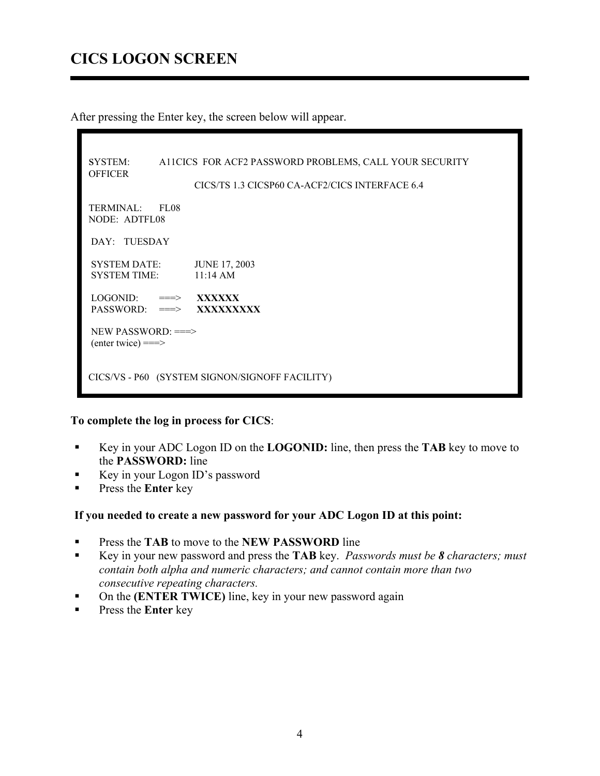## **CICS LOGON SCREEN**

After pressing the Enter key, the screen below will appear.

| <b>SYSTEM:</b><br><b>OFFICER</b>                  |             | A11CICS FOR ACF2 PASSWORD PROBLEMS, CALL YOUR SECURITY<br>CICS/TS 1.3 CICSP60 CA-ACF2/CICS INTERFACE 6.4 |  |  |  |
|---------------------------------------------------|-------------|----------------------------------------------------------------------------------------------------------|--|--|--|
| <b>TERMINAL:</b><br>NODE: ADTFL08                 | <b>FL08</b> |                                                                                                          |  |  |  |
| DAY: TUESDAY                                      |             |                                                                                                          |  |  |  |
| <b>SYSTEM DATE:</b><br>SYSTEM TIME:               |             | <b>JUNE 17, 2003</b><br>$11:14 \text{ AM}$                                                               |  |  |  |
| $LOGONID: \implies$ XXXXXX                        |             | $PASSWORD: \implies$ XXXXXXXXX                                                                           |  |  |  |
| NEW PASSWORD: ===><br>$($ enter twice $) = = \ge$ |             |                                                                                                          |  |  |  |
| CICS/VS - P60 (SYSTEM SIGNON/SIGNOFF FACILITY)    |             |                                                                                                          |  |  |  |

### **To complete the log in process for CICS**:

- Key in your ADC Logon ID on the **LOGONID:** line, then press the **TAB** key to move to the **PASSWORD:** line
- Key in your Logon ID's password
- **Press the Enter key**

### **If you needed to create a new password for your ADC Logon ID at this point:**

- **Press the TAB** to move to the **NEW PASSWORD** line
- Key in your new password and press the **TAB** key. *Passwords must be 8 characters; must contain both alpha and numeric characters; and cannot contain more than two consecutive repeating characters.*
- On the **(ENTER TWICE)** line, key in your new password again
- **Press the Enter key**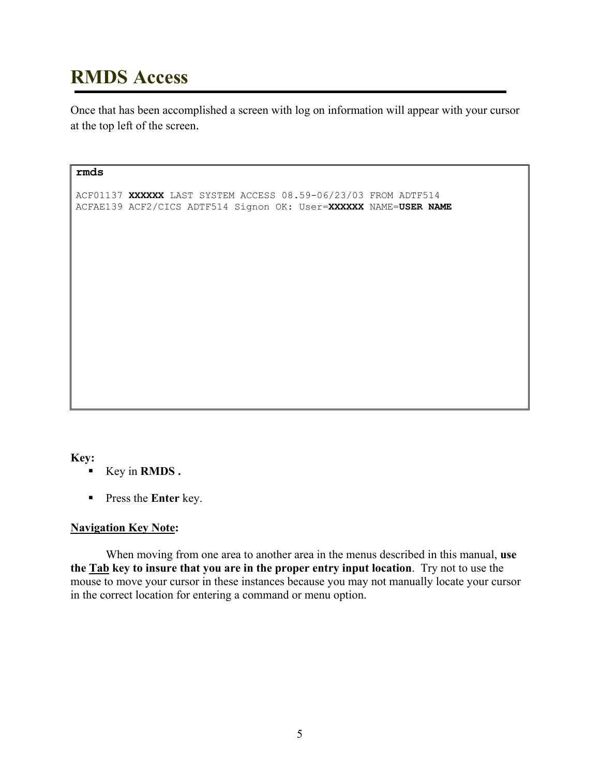# **RMDS Access**

Once that has been accomplished a screen with log on information will appear with your cursor at the top left of the screen.

#### **rmds**

ACF01137 **XXXXXX** LAST SYSTEM ACCESS 08.59-06/23/03 FROM ADTF514 ACFAE139 ACF2/CICS ADTF514 Signon OK: User=**XXXXXX** NAME=**USER NAME**

### **Key:**

- Key in **RMDS .**
- **Press the Enter key.**

### **Navigation Key Note:**

When moving from one area to another area in the menus described in this manual, **use the Tab key to insure that you are in the proper entry input location**. Try not to use the mouse to move your cursor in these instances because you may not manually locate your cursor in the correct location for entering a command or menu option.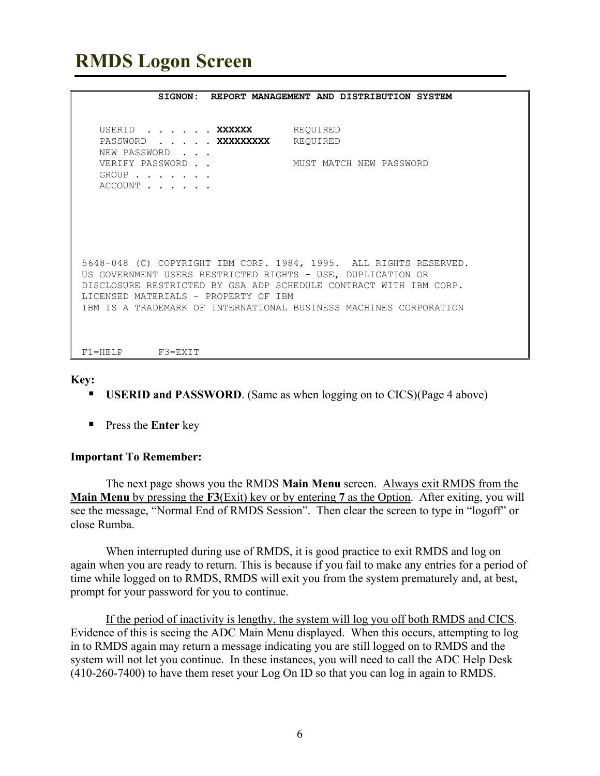# **RMDS Logon Screen**

|                                                                                                                                                                                                                                               | SIGNON: REPORT MANAGEMENT AND DISTRIBUTION SYSTEM |
|-----------------------------------------------------------------------------------------------------------------------------------------------------------------------------------------------------------------------------------------------|---------------------------------------------------|
|                                                                                                                                                                                                                                               |                                                   |
| USERID XXXXXX REQUIRED<br>PASSWORD XXXXXXXXX REQUIRED<br>NEW PASSWORD<br>VERIFY PASSWORD<br>$GROUP$<br>ACCOUNT                                                                                                                                | MUST MATCH NEW PASSWORD                           |
|                                                                                                                                                                                                                                               |                                                   |
|                                                                                                                                                                                                                                               |                                                   |
|                                                                                                                                                                                                                                               |                                                   |
| 5648-048 (C) COPYRIGHT IBM CORP. 1984, 1995. ALL RIGHTS RESERVED.<br>US GOVERNMENT USERS RESTRICTED RIGHTS - USE, DUPLICATION OR<br>DISCLOSURE RESTRICTED BY GSA ADP SCHEDULE CONTRACT WITH IBM CORP.<br>LICENSED MATERIALS - PROPERTY OF IBM |                                                   |
| IBM IS A TRADEMARK OF INTERNATIONAL BUSINESS MACHINES CORPORATION                                                                                                                                                                             |                                                   |
|                                                                                                                                                                                                                                               |                                                   |
| $F1 = H F I.P$ $F3 = F X T T$                                                                                                                                                                                                                 |                                                   |

**Key:** 

- **USERID and PASSWORD**. (Same as when logging on to CICS)(Page 4 above)
- **Press the Enter key**

#### **Important To Remember:**

The next page shows you the RMDS **Main Menu** screen. Always exit RMDS from the **Main Menu** by pressing the **F3**(Exit) key or by entering **7** as the Option. After exiting, you will see the message, "Normal End of RMDS Session". Then clear the screen to type in "logoff" or close Rumba.

When interrupted during use of RMDS, it is good practice to exit RMDS and log on again when you are ready to return. This is because if you fail to make any entries for a period of time while logged on to RMDS, RMDS will exit you from the system prematurely and, at best, prompt for your password for you to continue.

If the period of inactivity is lengthy, the system will log you off both RMDS and CICS. Evidence of this is seeing the ADC Main Menu displayed. When this occurs, attempting to log in to RMDS again may return a message indicating you are still logged on to RMDS and the system will not let you continue. In these instances, you will need to call the ADC Help Desk (410-260-7400) to have them reset your Log On ID so that you can log in again to RMDS.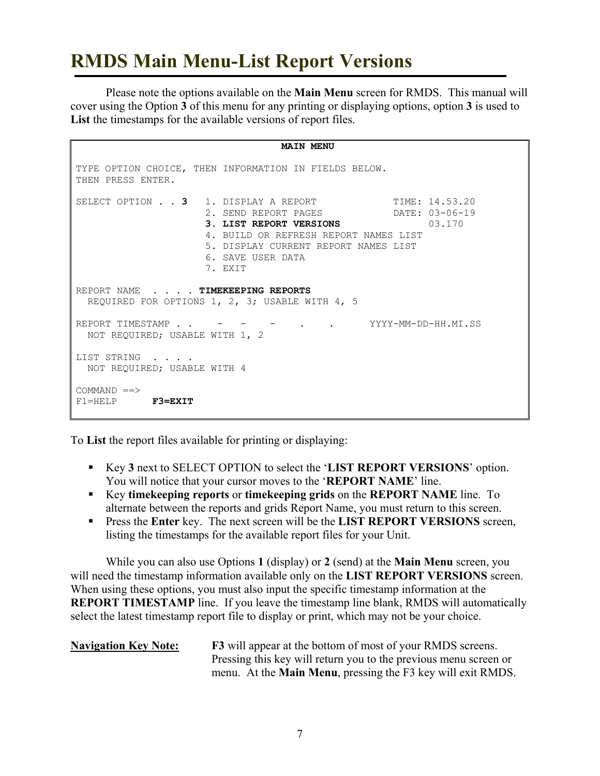# **RMDS Main Menu-List Report Versions**

Please note the options available on the **Main Menu** screen for RMDS. This manual will cover using the Option **3** of this menu for any printing or displaying options, option **3** is used to **List** the timestamps for the available versions of report files.

```
 MAIN MENU 
TYPE OPTION CHOICE, THEN INFORMATION IN FIELDS BELOW. 
THEN PRESS ENTER. 
SELECT OPTION . . 3 1. DISPLAY A REPORT TIME: 14.53.20
 2. SEND REPORT PAGES DATE: 03-06-19 
3. LIST REPORT VERSIONS 03.170
 4. BUILD OR REFRESH REPORT NAMES LIST 
                   5. DISPLAY CURRENT REPORT NAMES LIST 
                   6. SAVE USER DATA 
                   7. EXIT 
REPORT NAME . . . . TIMEKEEPING REPORTS 
  REQUIRED FOR OPTIONS 1, 2, 3; USABLE WITH 4, 5 
REPORT TIMESTAMP . . - - - - . YYYY-MM-DD-HH.MI.SS
  NOT REQUIRED; USABLE WITH 1, 2 
LIST STRING . . . .
  NOT REQUIRED; USABLE WITH 4 
COMMAND \impliesF1=HELP F3=EXIT
```
To **List** the report files available for printing or displaying:

- Key **3** next to SELECT OPTION to select the '**LIST REPORT VERSIONS**' option. You will notice that your cursor moves to the '**REPORT NAME**' line.
- Key **timekeeping reports** or **timekeeping grids** on the **REPORT NAME** line. To alternate between the reports and grids Report Name, you must return to this screen.
- Press the **Enter** key. The next screen will be the **LIST REPORT VERSIONS** screen, listing the timestamps for the available report files for your Unit.

While you can also use Options **1** (display) or **2** (send) at the **Main Menu** screen, you will need the timestamp information available only on the **LIST REPORT VERSIONS** screen. When using these options, you must also input the specific timestamp information at the **REPORT TIMESTAMP** line. If you leave the timestamp line blank, RMDS will automatically select the latest timestamp report file to display or print, which may not be your choice.

### **Navigation Key Note: F3** will appear at the bottom of most of your RMDS screens. Pressing this key will return you to the previous menu screen or menu. At the **Main Menu**, pressing the F3 key will exit RMDS.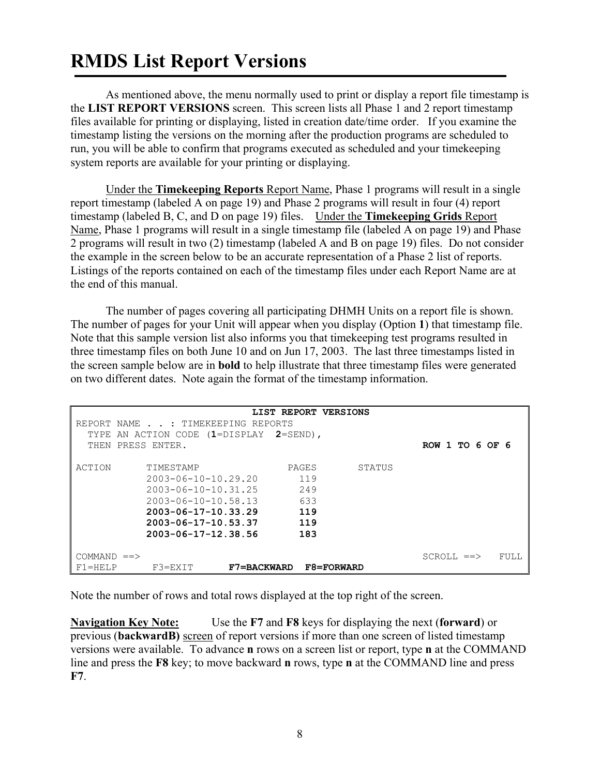# **RMDS List Report Versions**

As mentioned above, the menu normally used to print or display a report file timestamp is the **LIST REPORT VERSIONS** screen. This screen lists all Phase 1 and 2 report timestamp files available for printing or displaying, listed in creation date/time order. If you examine the timestamp listing the versions on the morning after the production programs are scheduled to run, you will be able to confirm that programs executed as scheduled and your timekeeping system reports are available for your printing or displaying.

Under the **Timekeeping Reports** Report Name, Phase 1 programs will result in a single report timestamp (labeled A on page 19) and Phase 2 programs will result in four (4) report timestamp (labeled B, C, and D on page 19) files. Under the **Timekeeping Grids** Report Name, Phase 1 programs will result in a single timestamp file (labeled A on page 19) and Phase 2 programs will result in two (2) timestamp (labeled A and B on page 19) files. Do not consider the example in the screen below to be an accurate representation of a Phase 2 list of reports. Listings of the reports contained on each of the timestamp files under each Report Name are at the end of this manual.

The number of pages covering all participating DHMH Units on a report file is shown. The number of pages for your Unit will appear when you display (Option **1**) that timestamp file. Note that this sample version list also informs you that timekeeping test programs resulted in three timestamp files on both June 10 and on Jun 17, 2003. The last three timestamps listed in the screen sample below are in **bold** to help illustrate that three timestamp files were generated on two different dates. Note again the format of the timestamp information.

|              |                                         | LIST REPORT VERSIONS |        |                   |      |
|--------------|-----------------------------------------|----------------------|--------|-------------------|------|
|              | REPORT NAME : TIMEKEEPING REPORTS       |                      |        |                   |      |
|              | TYPE AN ACTION CODE (1=DISPLAY 2=SEND), |                      |        |                   |      |
| THEN         | PRESS ENTER.                            |                      |        | ROW 1 TO 6 OF 6   |      |
|              |                                         |                      |        |                   |      |
|              |                                         |                      |        |                   |      |
| ACTION       | TIMESTAMP                               | PAGES                | STATUS |                   |      |
|              | $2003 - 06 - 10 - 10.29.20$             | 119                  |        |                   |      |
|              | $2003 - 06 - 10 - 10.31.25$             | 249                  |        |                   |      |
|              | $2003 - 06 - 10 - 10.58.13$             | 633                  |        |                   |      |
|              | $2003 - 06 - 17 - 10.33.29$             | 119                  |        |                   |      |
|              | $2003 - 06 - 17 - 10.53.37$             | 119                  |        |                   |      |
|              | $2003 - 06 - 17 - 12.38.56$             | 183                  |        |                   |      |
|              |                                         |                      |        |                   |      |
| $COMMAND ==$ |                                         |                      |        | $SCROLL \implies$ | FULL |
| $F1 = HELP$  | $F3 = EXIT$<br><b>F7=BACKWARD</b>       | <b>F8=FORWARD</b>    |        |                   |      |

Note the number of rows and total rows displayed at the top right of the screen.

**Navigation Key Note:** Use the **F7** and **F8** keys for displaying the next (**forward**) or previous (**backwardB)** screen of report versions if more than one screen of listed timestamp versions were available. To advance **n** rows on a screen list or report, type **n** at the COMMAND line and press the **F8** key; to move backward **n** rows, type **n** at the COMMAND line and press **F7**.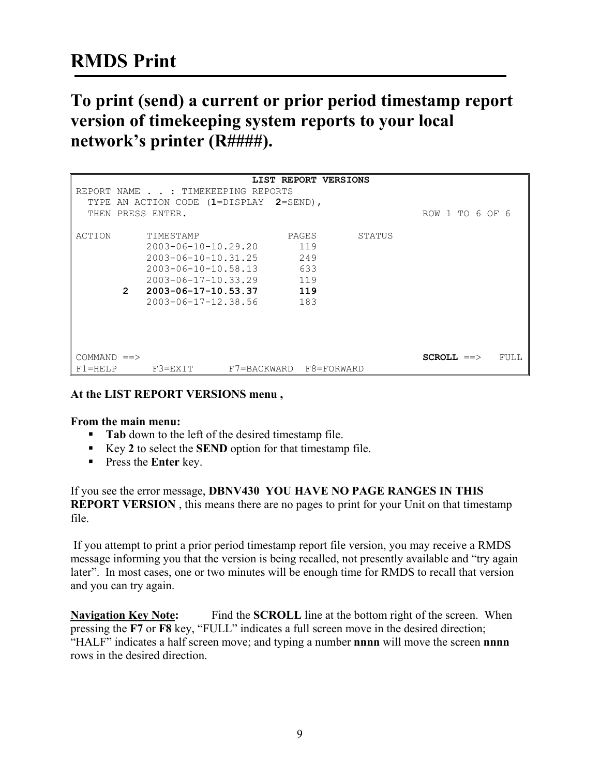## **RMDS Print**

## **To print (send) a current or prior period timestamp report version of timekeeping system reports to your local network's printer (R####).**

|              |               |                                         |             | LIST REPORT VERSIONS |            |                 |      |
|--------------|---------------|-----------------------------------------|-------------|----------------------|------------|-----------------|------|
|              |               | REPORT NAME : TIMEKEEPING REPORTS       |             |                      |            |                 |      |
|              |               | TYPE AN ACTION CODE (1=DISPLAY 2=SEND), |             |                      |            |                 |      |
|              |               | THEN PRESS ENTER.                       |             |                      |            | ROW 1 TO 6 OF 6 |      |
|              |               |                                         |             |                      |            |                 |      |
| ACTION       |               | TIMESTAMP                               |             | PAGES                | STATUS     |                 |      |
|              |               | $2003 - 06 - 10 - 10.29.20$             |             | 119                  |            |                 |      |
|              |               |                                         |             |                      |            |                 |      |
|              |               | $2003 - 06 - 10 - 10.31.25$             |             | 249                  |            |                 |      |
|              |               | $2003 - 06 - 10 - 10.58.13$             |             | 633                  |            |                 |      |
|              |               | $2003 - 06 - 17 - 10.33.29$             |             | 119                  |            |                 |      |
|              | $\mathcal{P}$ | $2003 - 06 - 17 - 10.53.37$             |             | 119                  |            |                 |      |
|              |               | $2003 - 06 - 17 - 12.38.56$             |             | 183                  |            |                 |      |
|              |               |                                         |             |                      |            |                 |      |
|              |               |                                         |             |                      |            |                 |      |
|              |               |                                         |             |                      |            |                 |      |
|              |               |                                         |             |                      |            |                 |      |
|              |               |                                         |             |                      |            |                 |      |
| $COMMAND ==$ |               |                                         |             |                      |            | $SCROLL ==>$    | FULL |
| $F1 = HELP$  |               | F3=EXIT                                 | F7=BACKWARD |                      | F8=FORWARD |                 |      |

### **At the LIST REPORT VERSIONS menu ,**

#### **From the main menu:**

- **Tab** down to the left of the desired timestamp file.
- Key 2 to select the **SEND** option for that timestamp file.
- **Press the Enter key.**

If you see the error message, **DBNV430 YOU HAVE NO PAGE RANGES IN THIS REPORT VERSION**, this means there are no pages to print for your Unit on that timestamp file.

If you attempt to print a prior period timestamp report file version, you may receive a RMDS message informing you that the version is being recalled, not presently available and "try again later". In most cases, one or two minutes will be enough time for RMDS to recall that version and you can try again.

**Navigation Key Note:** Find the **SCROLL** line at the bottom right of the screen. When pressing the **F7** or **F8** key, "FULL" indicates a full screen move in the desired direction; "HALF" indicates a half screen move; and typing a number **nnnn** will move the screen **nnnn** rows in the desired direction.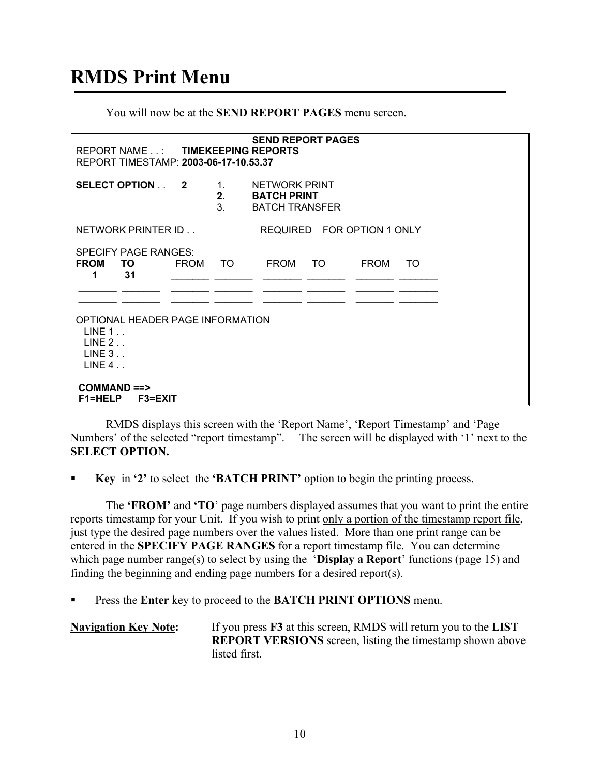# **RMDS Print Menu**

You will now be at the **SEND REPORT PAGES** menu screen.

|                                                                                  | <b>SEND REPORT PAGES</b><br>REPORT NAME . : TIMEKEEPING REPORTS<br>REPORT TIMESTAMP: 2003-06-17-10.53.37 |             |                         |                                                              |                            |             |     |  |
|----------------------------------------------------------------------------------|----------------------------------------------------------------------------------------------------------|-------------|-------------------------|--------------------------------------------------------------|----------------------------|-------------|-----|--|
|                                                                                  | SELECT OPTION 2                                                                                          |             | $1_{\cdot}$<br>2.<br>3. | NETWORK PRINT<br><b>BATCH PRINT</b><br><b>BATCH TRANSFER</b> |                            |             |     |  |
|                                                                                  | NETWORK PRINTER ID                                                                                       |             |                         |                                                              | REQUIRED FOR OPTION 1 ONLY |             |     |  |
| <b>FROM</b><br>1                                                                 | <b>SPECIFY PAGE RANGES:</b><br>TO.<br>31                                                                 | <b>FROM</b> | - TO                    | FROM                                                         | TO.                        | <b>FROM</b> | TO. |  |
| OPTIONAL HEADER PAGE INFORMATION<br>LINE 1.<br>LINE 2.<br>$LINE 3.$ .<br>LINE 4. |                                                                                                          |             |                         |                                                              |                            |             |     |  |
|                                                                                  | $COMMAND \nightharpoonup$<br><b>F1=HELP</b><br><b>F3=EXIT</b>                                            |             |                         |                                                              |                            |             |     |  |

RMDS displays this screen with the 'Report Name', 'Report Timestamp' and 'Page Numbers' of the selected "report timestamp". The screen will be displayed with '1' next to the **SELECT OPTION.** 

**Key** in **'2'** to select the **'BATCH PRINT'** option to begin the printing process.

 The **'FROM'** and **'TO**' page numbers displayed assumes that you want to print the entire reports timestamp for your Unit. If you wish to print only a portion of the timestamp report file, just type the desired page numbers over the values listed. More than one print range can be entered in the **SPECIFY PAGE RANGES** for a report timestamp file. You can determine which page number range(s) to select by using the '**Display a Report**' functions (page 15) and finding the beginning and ending page numbers for a desired report(s).

Press the **Enter** key to proceed to the **BATCH PRINT OPTIONS** menu.

| <b>Navigation Key Note:</b> | If you press <b>F3</b> at this screen, RMDS will return you to the <b>LIST</b> |
|-----------------------------|--------------------------------------------------------------------------------|
|                             | <b>REPORT VERSIONS</b> screen, listing the timestamp shown above               |
|                             | listed first.                                                                  |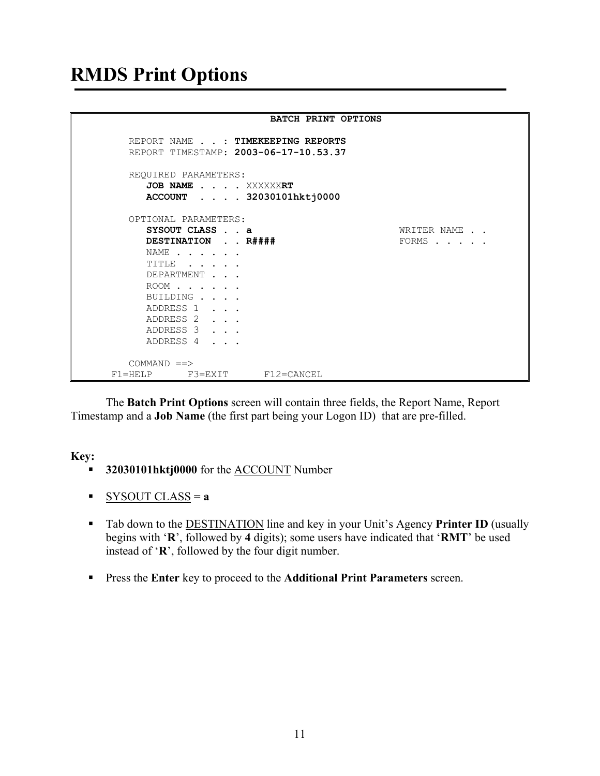## **RMDS Print Options**

|                                           | <b>BATCH PRINT OPTIONS</b>                                                 |             |
|-------------------------------------------|----------------------------------------------------------------------------|-------------|
|                                           | REPORT NAME : TIMEKEEPING REPORTS<br>REPORT TIMESTAMP: 2003-06-17-10.53.37 |             |
| REQUIRED PARAMETERS:<br>JOB NAME XXXXXXRT | ACCOUNT 32030101hktj0000                                                   |             |
| OPTIONAL PARAMETERS:                      |                                                                            |             |
| SYSOUT CLASS a                            |                                                                            | WRITER NAME |
| DESTINATION R####                         |                                                                            | FORMS       |
| NAME                                      |                                                                            |             |
| TITLE                                     |                                                                            |             |
| DEPARTMENT                                |                                                                            |             |
| ROOM                                      |                                                                            |             |
| BUILDING                                  |                                                                            |             |
| ADDRESS 1                                 |                                                                            |             |
| ADDRESS 2                                 |                                                                            |             |
| ADDRESS 3                                 |                                                                            |             |
| ADDRESS 4                                 |                                                                            |             |
| $COMMAND ==$                              |                                                                            |             |
| $F3 = EXIT$<br>$F1 = HELP$                | F12=CANCEL                                                                 |             |

 The **Batch Print Options** screen will contain three fields, the Report Name, Report Timestamp and a **Job Name** (the first part being your Logon ID) that are pre-filled.

### **Key:**

- **32030101hktj0000** for the **ACCOUNT** Number
- SYSOUT CLASS = **a**
- Tab down to the DESTINATION line and key in your Unit's Agency **Printer ID** (usually begins with '**R**', followed by **4** digits); some users have indicated that '**RMT**' be used instead of '**R**', followed by the four digit number.
- Press the **Enter** key to proceed to the **Additional Print Parameters** screen.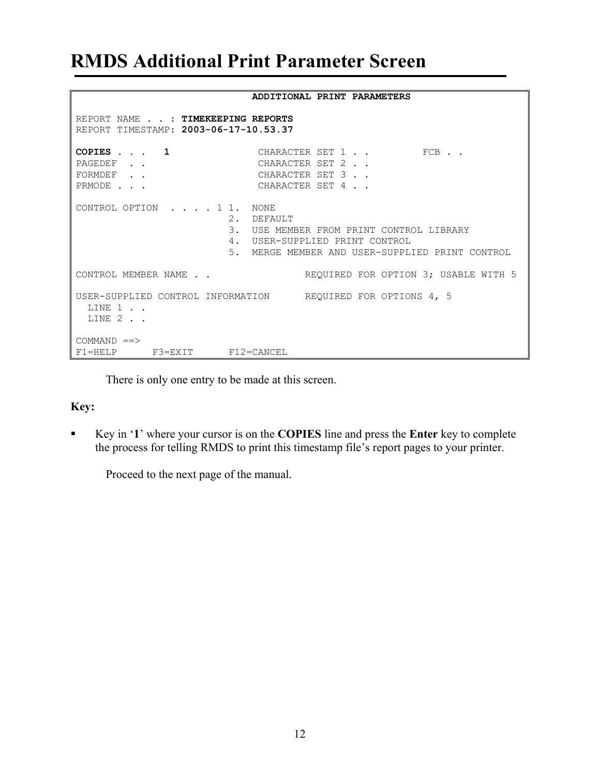## **RMDS Additional Print Parameter Screen**

### **ADDITIONAL PRINT PARAMETERS**  REPORT NAME . . : **TIMEKEEPING REPORTS** REPORT TIMESTAMP: **2003-06-17-10.53.37** CHARACTER SET 1 . . FCB . . PAGEDEF . . CHARACTER SET 2 . . FORMDEF . . CHARACTER SET 3 . . PRMODE . . . CHARACTER SET 4 . . CONTROL OPTION . . . . 1 1. NONE 2. DEFAULT 3. USE MEMBER FROM PRINT CONTROL LIBRARY 4. USER-SUPPLIED PRINT CONTROL 5. MERGE MEMBER AND USER-SUPPLIED PRINT CONTROL CONTROL MEMBER NAME . . THE REQUIRED FOR OPTION 3; USABLE WITH 5 USER-SUPPLIED CONTROL INFORMATION REQUIRED FOR OPTIONS 4, 5 LINE 1 . . LINE 2 . .  $COMMAND$  ==> F1=HELP F3=EXIT F12=CANCEL

There is only one entry to be made at this screen.

### **Key:**

 Key in '**1**' where your cursor is on the **COPIES** line and press the **Enter** key to complete the process for telling RMDS to print this timestamp file's report pages to your printer.

Proceed to the next page of the manual.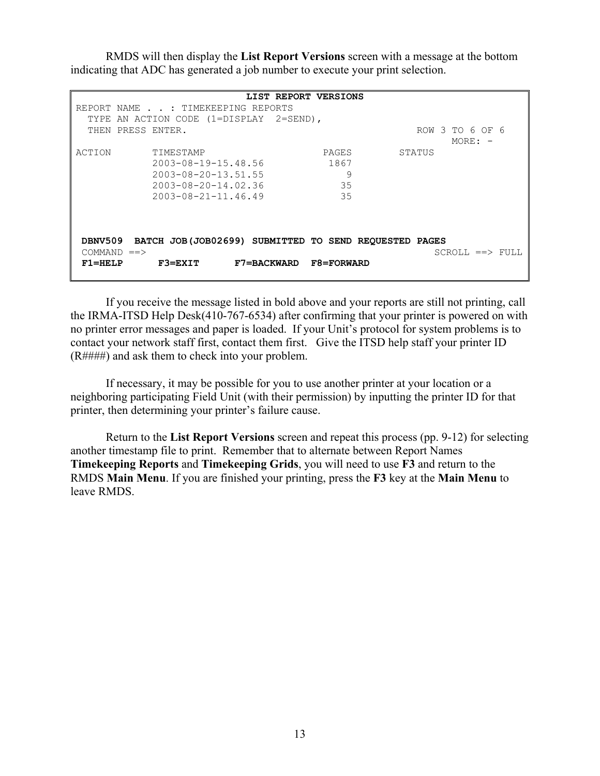RMDS will then display the **List Report Versions** screen with a message at the bottom indicating that ADC has generated a job number to execute your print selection.

 **LIST REPORT VERSIONS**  REPORT NAME . . : TIMEKEEPING REPORTS TYPE AN ACTION CODE (1=DISPLAY 2=SEND), THEN PRESS ENTER.<br>
ROW 3 TO 6 OF 6<br>
MORE: - $MORE: -$ ACTION TIMESTAMP PAGES STATUS 2003-08-19-15.48.56 1867 2003-08-20-13.51.55 9 2003-08-20-14.02.36 35 2003-08-21-11.46.49 35 **DBNV509 BATCH JOB(JOB02699) SUBMITTED TO SEND REQUESTED PAGES**   $\begin{array}{lcl} \text{COMMAND} & = = & > & \\ \text{SCROLL} & = & > & \text{FULL} \end{array}$ **F1=HELP F3=EXIT F7=BACKWARD F8=FORWARD** 

If you receive the message listed in bold above and your reports are still not printing, call the IRMA-ITSD Help Desk(410-767-6534) after confirming that your printer is powered on with no printer error messages and paper is loaded. If your Unit's protocol for system problems is to contact your network staff first, contact them first. Give the ITSD help staff your printer ID (R####) and ask them to check into your problem.

If necessary, it may be possible for you to use another printer at your location or a neighboring participating Field Unit (with their permission) by inputting the printer ID for that printer, then determining your printer's failure cause.

 Return to the **List Report Versions** screen and repeat this process (pp. 9-12) for selecting another timestamp file to print. Remember that to alternate between Report Names **Timekeeping Reports** and **Timekeeping Grids**, you will need to use **F3** and return to the RMDS **Main Menu**. If you are finished your printing, press the **F3** key at the **Main Menu** to leave RMDS.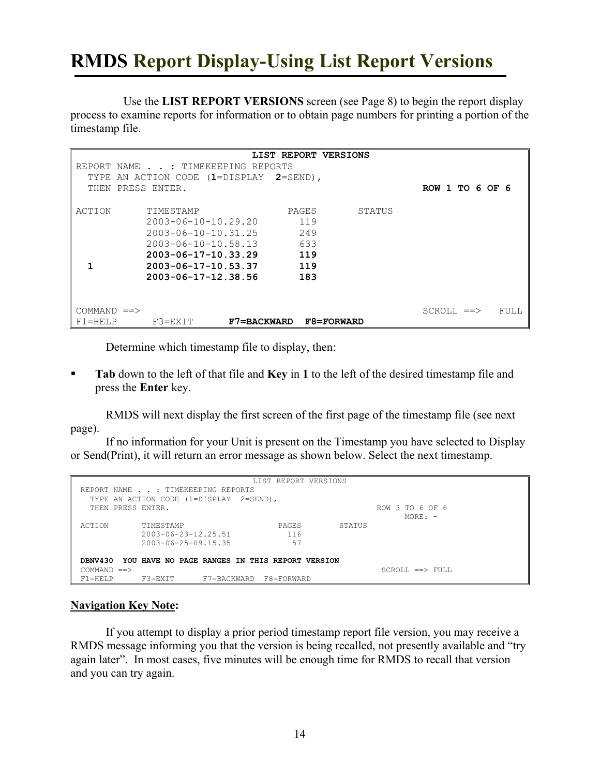# **RMDS Report Display-Using List Report Versions**

Use the **LIST REPORT VERSIONS** screen (see Page 8) to begin the report display process to examine reports for information or to obtain page numbers for printing a portion of the timestamp file.

|              |                                   | LIST REPORT VERSIONS |        |                 |      |
|--------------|-----------------------------------|----------------------|--------|-----------------|------|
|              | REPORT NAME : TIMEKEEPING REPORTS |                      |        |                 |      |
| TYPE         | AN ACTION CODE (1=DISPLAY         | $2 = \text{SEND}$ ,  |        |                 |      |
| THEN         | PRESS ENTER.                      |                      |        | ROW 1 TO 6 OF 6 |      |
|              |                                   |                      |        |                 |      |
| ACTION       | TIMESTAMP                         | PAGES                | STATUS |                 |      |
|              | $2003 - 06 - 10 - 10.29.20$       | 119                  |        |                 |      |
|              | $2003 - 06 - 10 - 10.31.25$       | 249                  |        |                 |      |
|              | $2003 - 06 - 10 - 10.58.13$       | 633                  |        |                 |      |
|              | $2003 - 06 - 17 - 10.33.29$       | 119                  |        |                 |      |
|              | $2003 - 06 - 17 - 10.53.37$       | 119                  |        |                 |      |
|              | $2003 - 06 - 17 - 12$ . 38.56     | 183                  |        |                 |      |
|              |                                   |                      |        |                 |      |
|              |                                   |                      |        |                 |      |
| $COMMAND ==$ |                                   |                      |        | $SCROLL ==$     | FULL |
| $F1 = HELP$  | $F3 = EXIT$<br><b>F7=BACKWARD</b> | F8=FORWARD           |        |                 |      |

Determine which timestamp file to display, then:

**Tab** down to the left of that file and **Key** in 1 to the left of the desired timestamp file and press the **Enter** key.

RMDS will next display the first screen of the first page of the timestamp file (see next page).

If no information for your Unit is present on the Timestamp you have selected to Display or Send(Print), it will return an error message as shown below. Select the next timestamp.

|                |                                                | LIST REPORT VERSIONS      |        |                        |
|----------------|------------------------------------------------|---------------------------|--------|------------------------|
|                | REPORT NAME : TIMEKEEPING REPORTS              |                           |        |                        |
|                | TYPE AN ACTION CODE (1=DISPLAY                 | 2=SEND),                  |        |                        |
|                | THEN PRESS ENTER.                              |                           |        | ROW 3 TO 6 OF 6        |
|                |                                                |                           |        | $MORF: -$              |
| ACTION         | TIMESTAMP                                      | PAGES                     | STATUS |                        |
|                | $2003 - 06 - 23 - 12$ , 25, 51                 | 116                       |        |                        |
|                | $2003 - 06 - 25 - 09.15.35$                    | 57                        |        |                        |
|                |                                                |                           |        |                        |
| DBNV430        | YOU HAVE NO PAGE RANGES IN THIS REPORT VERSION |                           |        |                        |
| $COMMAND ==$   |                                                |                           |        | $SCROLI_0 == > FUIJ_0$ |
| $F1 = H F I.P$ | $F3 = FXTT$                                    | F7=BACKWARD<br>F8=FORWARD |        |                        |

### **Navigation Key Note:**

If you attempt to display a prior period timestamp report file version, you may receive a RMDS message informing you that the version is being recalled, not presently available and "try again later". In most cases, five minutes will be enough time for RMDS to recall that version and you can try again.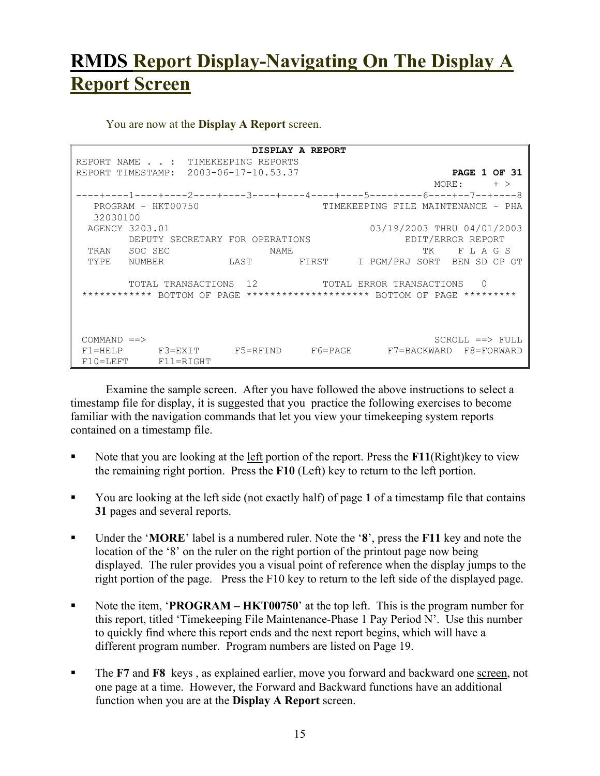# **RMDS Report Display-Navigating On The Display A Report Screen**

You are now at the **Display A Report** screen.

 **DISPLAY A REPORT**  REPORT NAME . . : TIMEKEEPING REPORTS REPORT TIMESTAMP: 2003-06-17-10.53.37 **PAGE 1 OF 31** MORE: + > ----+----1----+----2----+----3----+----4----+----5----+----6----+--7--+-----8<br>PROGRAM - HKT00750 TIMEKEEPING FILE MAINTENANCE - PHA TIMEKEEPING FILE MAINTENANCE - PHA 32030100 AGENCY 3203.01 03/19/2003 THRU 04/01/2003 DEPUTY SECRETARY FOR OPERATIONS THE REPORT EDIT/ERROR REPORT TRAN SOC SEC NAME TK F L A G S TYPE NUMBER LAST FIRST I PGM/PRJ SORT BEN SD CP OT TOTAL TRANSACTIONS 12 TOTAL ERROR TRANSACTIONS 0 \*\*\*\*\*\*\*\*\*\*\*\* BOTTOM OF PAGE \*\*\*\*\*\*\*\*\*\*\*\*\*\*\*\*\*\*\*\* BOTTOM OF PAGE \*\*\*\*\*\*\*\*\*  $\begin{array}{lcl} \text{COMMAND} & \text{==>} & \text{FULL} \end{array}$ F1=HELP F3=EXIT F5=RFIND F6=PAGE F7=BACKWARD F8=FORWARD F10=LEFT F11=RIGHT

Examine the sample screen. After you have followed the above instructions to select a timestamp file for display, it is suggested that you practice the following exercises to become familiar with the navigation commands that let you view your timekeeping system reports contained on a timestamp file.

- Note that you are looking at the left portion of the report. Press the **F11**(Right)key to view the remaining right portion. Press the **F10** (Left) key to return to the left portion.
- You are looking at the left side (not exactly half) of page 1 of a timestamp file that contains **31** pages and several reports.
- Under the '**MORE**' label is a numbered ruler. Note the '**8**', press the **F11** key and note the location of the '8' on the ruler on the right portion of the printout page now being displayed. The ruler provides you a visual point of reference when the display jumps to the right portion of the page. Press the F10 key to return to the left side of the displayed page.
- Note the item, **'PROGRAM HKT00750**' at the top left. This is the program number for this report, titled 'Timekeeping File Maintenance-Phase 1 Pay Period N'. Use this number to quickly find where this report ends and the next report begins, which will have a different program number. Program numbers are listed on Page 19.
- The **F7** and **F8** keys, as explained earlier, move you forward and backward one <u>screen</u>, not one page at a time. However, the Forward and Backward functions have an additional function when you are at the **Display A Report** screen.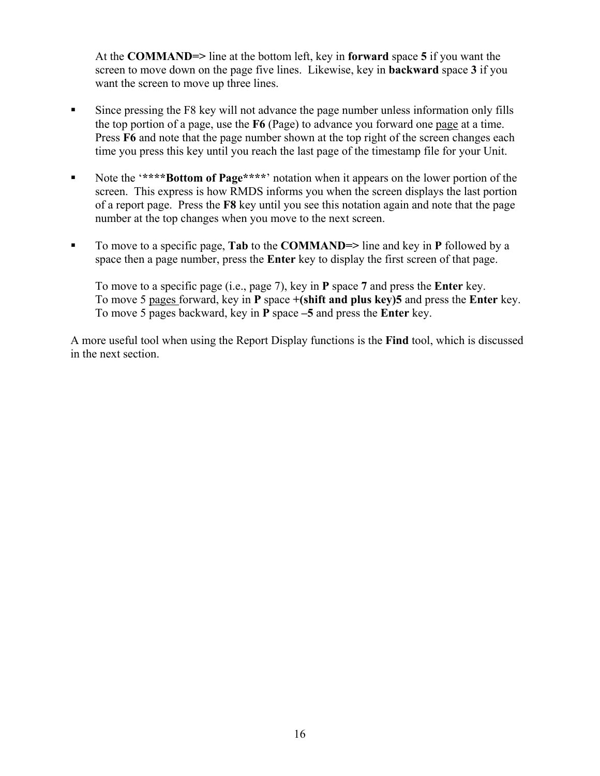At the **COMMAND=>** line at the bottom left, key in **forward** space **5** if you want the screen to move down on the page five lines. Likewise, key in **backward** space **3** if you want the screen to move up three lines.

- Since pressing the F8 key will not advance the page number unless information only fills the top portion of a page, use the **F6** (Page) to advance you forward one page at a time. Press **F6** and note that the page number shown at the top right of the screen changes each time you press this key until you reach the last page of the timestamp file for your Unit.
- Note the '\*\*\*\***Bottom of Page**\*\*\*\*' notation when it appears on the lower portion of the screen. This express is how RMDS informs you when the screen displays the last portion of a report page. Press the **F8** key until you see this notation again and note that the page number at the top changes when you move to the next screen.
- To move to a specific page, **Tab** to the **COMMAND**=> line and key in **P** followed by a space then a page number, press the **Enter** key to display the first screen of that page.

To move to a specific page (i.e., page 7), key in **P** space **7** and press the **Enter** key. To move 5 pages forward, key in **P** space **+(shift and plus key)5** and press the **Enter** key. To move 5 pages backward, key in **P** space **–5** and press the **Enter** key.

A more useful tool when using the Report Display functions is the **Find** tool, which is discussed in the next section.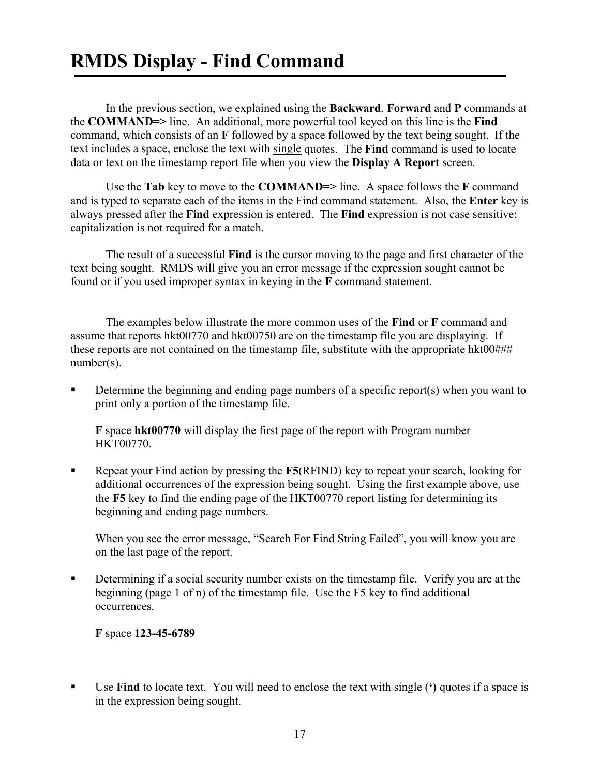In the previous section, we explained using the **Backward**, **Forward** and **P** commands at the **COMMAND=>** line. An additional, more powerful tool keyed on this line is the **Find** command, which consists of an **F** followed by a space followed by the text being sought. If the text includes a space, enclose the text with single quotes. The **Find** command is used to locate data or text on the timestamp report file when you view the **Display A Report** screen.

 Use the **Tab** key to move to the **COMMAND=>** line. A space follows the **F** command and is typed to separate each of the items in the Find command statement. Also, the **Enter** key is always pressed after the **Find** expression is entered. The **Find** expression is not case sensitive; capitalization is not required for a match.

The result of a successful **Find** is the cursor moving to the page and first character of the text being sought. RMDS will give you an error message if the expression sought cannot be found or if you used improper syntax in keying in the **F** command statement.

The examples below illustrate the more common uses of the **Find** or **F** command and assume that reports hkt00770 and hkt00750 are on the timestamp file you are displaying. If these reports are not contained on the timestamp file, substitute with the appropriate hkt00### number(s).

Determine the beginning and ending page numbers of a specific report(s) when you want to print only a portion of the timestamp file.

**F** space **hkt00770** will display the first page of the report with Program number HKT00770.

■ Repeat your Find action by pressing the **F5**(RFIND) key to repeat your search, looking for additional occurrences of the expression being sought. Using the first example above, use the **F5** key to find the ending page of the HKT00770 report listing for determining its beginning and ending page numbers.

When you see the error message, "Search For Find String Failed", you will know you are on the last page of the report.

 Determining if a social security number exists on the timestamp file. Verify you are at the beginning (page 1 of n) of the timestamp file. Use the F5 key to find additional occurrences.

**F** space **123-45-6789** 

 Use **Find** to locate text. You will need to enclose the text with single (**')** quotes if a space is in the expression being sought.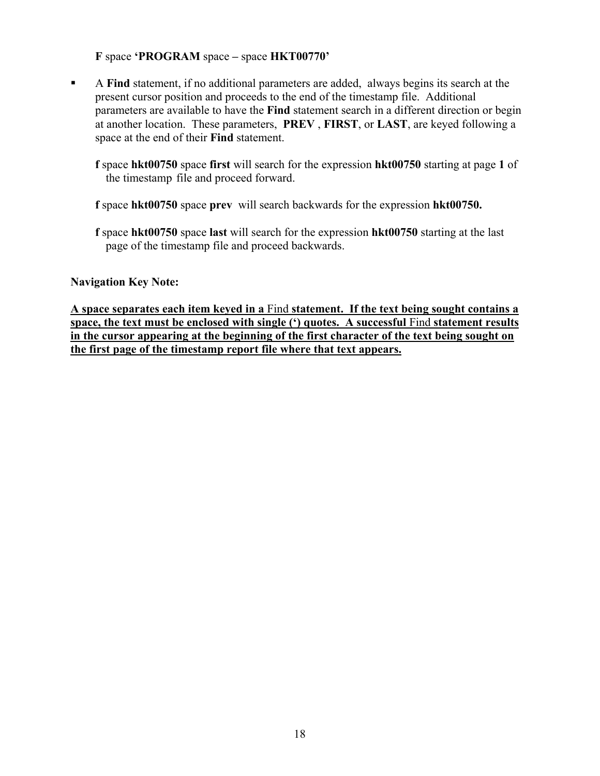**F** space **'PROGRAM** space **–** space **HKT00770'** 

 A **Find** statement, if no additional parameters are added, always begins its search at the present cursor position and proceeds to the end of the timestamp file. Additional parameters are available to have the **Find** statement search in a different direction or begin at another location. These parameters, **PREV** , **FIRST**, or **LAST**, are keyed following a space at the end of their **Find** statement.

**f** space **hkt00750** space **first** will search for the expression **hkt00750** starting at page **1** of the timestamp file and proceed forward.

**f** space **hkt00750** space **prev** will search backwards for the expression **hkt00750.** 

**f** space **hkt00750** space **last** will search for the expression **hkt00750** starting at the last page of the timestamp file and proceed backwards.

### **Navigation Key Note:**

**A space separates each item keyed in a** Find **statement. If the text being sought contains a space, the text must be enclosed with single (') quotes. A successful** Find **statement results in the cursor appearing at the beginning of the first character of the text being sought on the first page of the timestamp report file where that text appears.**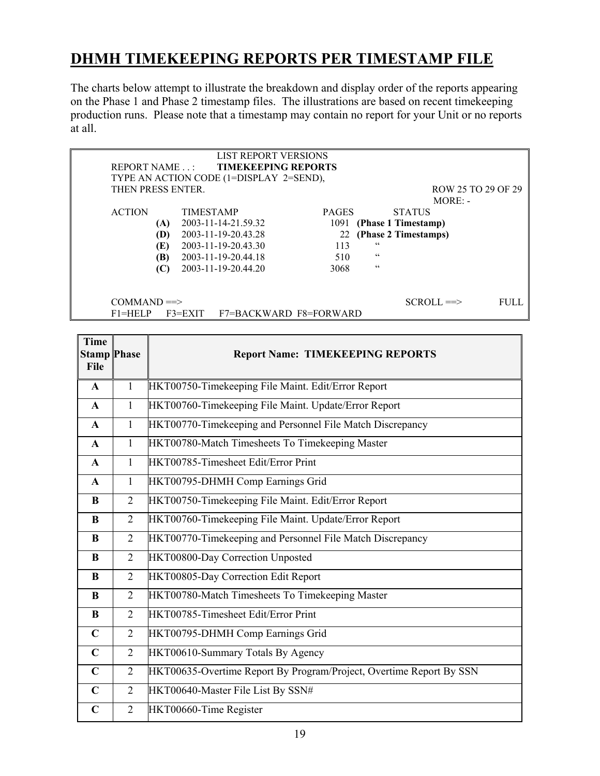## **DHMH TIMEKEEPING REPORTS PER TIMESTAMP FILE**

The charts below attempt to illustrate the breakdown and display order of the reports appearing on the Phase 1 and Phase 2 timestamp files. The illustrations are based on recent timekeeping production runs. Please note that a timestamp may contain no report for your Unit or no reports at all.

|                    | <b>LIST REPORT VERSIONS</b>             |                        |                      |                    |
|--------------------|-----------------------------------------|------------------------|----------------------|--------------------|
| <b>REPORT NAME</b> | <b>TIMEKEEPING REPORTS</b>              |                        |                      |                    |
|                    | TYPE AN ACTION CODE (1=DISPLAY 2=SEND), |                        |                      |                    |
| THEN PRESS ENTER.  |                                         |                        |                      | ROW 25 TO 29 OF 29 |
|                    |                                         |                        |                      | $MORE: -$          |
| <b>ACTION</b>      | <b>TIMESTAMP</b>                        | <b>PAGES</b>           | <b>STATUS</b>        |                    |
| (A)                | 2003-11-14-21.59.32                     | 1091                   | (Phase 1 Timestamp)  |                    |
| (D)                | 2003-11-19-20.43.28                     | 22                     | (Phase 2 Timestamps) |                    |
| (E)                | 2003-11-19-20.43.30                     | 113                    | $\epsilon$           |                    |
| (B)                | 2003-11-19-20.44.18                     | 510                    | $\epsilon$           |                    |
| (C)                | 2003-11-19-20.44.20                     | 3068                   | C C                  |                    |
|                    |                                         |                        |                      |                    |
| $COMMAND \equiv >$ |                                         |                        | $SCROLL \implies$    | FULL.              |
| $F1 = HELP$        | $F3 = EXIT$                             | F7=BACKWARD F8=FORWARD |                      |                    |

| <b>Time</b><br><b>Stamp Phase</b><br>File |                | <b>Report Name: TIMEKEEPING REPORTS</b>                             |  |  |  |  |  |
|-------------------------------------------|----------------|---------------------------------------------------------------------|--|--|--|--|--|
| $\mathbf{A}$                              | $\mathbf{1}$   | HKT00750-Timekeeping File Maint. Edit/Error Report                  |  |  |  |  |  |
| $\mathbf{A}$                              | 1              | HKT00760-Timekeeping File Maint. Update/Error Report                |  |  |  |  |  |
| $\mathbf{A}$                              | 1              | HKT00770-Timekeeping and Personnel File Match Discrepancy           |  |  |  |  |  |
| $\mathbf{A}$                              | $\mathbf{1}$   | HKT00780-Match Timesheets To Timekeeping Master                     |  |  |  |  |  |
| $\mathbf{A}$                              | $\mathbf{1}$   | HKT00785-Timesheet Edit/Error Print                                 |  |  |  |  |  |
| $\mathbf{A}$                              | $\mathbf{1}$   | HKT00795-DHMH Comp Earnings Grid                                    |  |  |  |  |  |
| B                                         | $\overline{2}$ | HKT00750-Timekeeping File Maint. Edit/Error Report                  |  |  |  |  |  |
| B                                         | $\overline{2}$ | HKT00760-Timekeeping File Maint. Update/Error Report                |  |  |  |  |  |
| B                                         | 2              | HKT00770-Timekeeping and Personnel File Match Discrepancy           |  |  |  |  |  |
| B                                         | $\overline{2}$ | HKT00800-Day Correction Unposted                                    |  |  |  |  |  |
| B                                         | $\overline{2}$ | HKT00805-Day Correction Edit Report                                 |  |  |  |  |  |
| B                                         | 2              | HKT00780-Match Timesheets To Timekeeping Master                     |  |  |  |  |  |
| $\bf{B}$                                  | $\overline{2}$ | HKT00785-Timesheet Edit/Error Print                                 |  |  |  |  |  |
| $\mathbf C$                               | $\overline{2}$ | HKT00795-DHMH Comp Earnings Grid                                    |  |  |  |  |  |
| $\mathbf C$                               | $\overline{2}$ | HKT00610-Summary Totals By Agency                                   |  |  |  |  |  |
| $\mathbf C$                               | 2              | HKT00635-Overtime Report By Program/Project, Overtime Report By SSN |  |  |  |  |  |
| $\mathbf C$                               | $\overline{2}$ | HKT00640-Master File List By SSN#                                   |  |  |  |  |  |
| $\mathbf C$                               | $\overline{2}$ | HKT00660-Time Register                                              |  |  |  |  |  |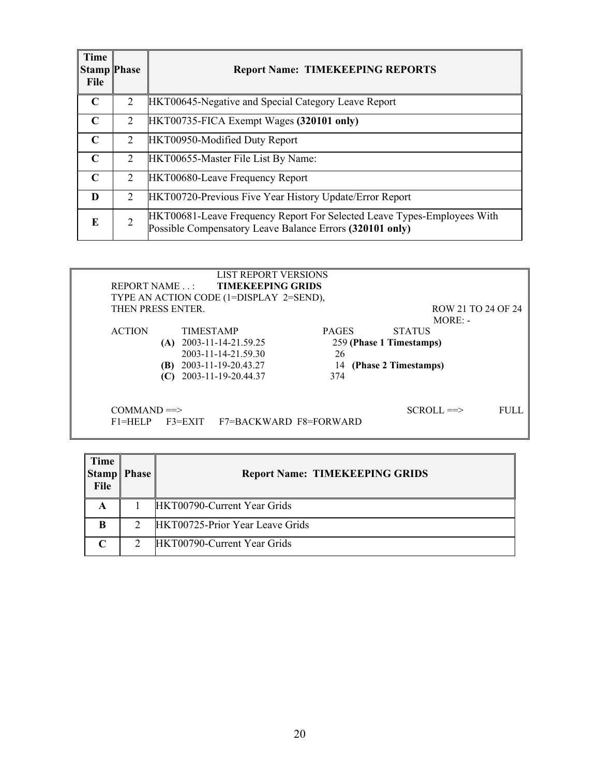| <b>Time</b><br><b>Stamp Phase</b><br><b>File</b> |   | <b>Report Name: TIMEKEEPING REPORTS</b>                                                                                             |
|--------------------------------------------------|---|-------------------------------------------------------------------------------------------------------------------------------------|
| $\mathbf C$                                      | 2 | HKT00645-Negative and Special Category Leave Report                                                                                 |
| $\mathbf C$                                      | 2 | HKT00735-FICA Exempt Wages (320101 only)                                                                                            |
| $\mathbf C$                                      | 2 | HKT00950-Modified Duty Report                                                                                                       |
| $\mathsf{C}$                                     | 2 | HKT00655-Master File List By Name:                                                                                                  |
| $\mathbf C$                                      | 2 | <b>HKT00680-Leave Frequency Report</b>                                                                                              |
| D                                                | 2 | <b>HKT00720-Previous Five Year History Update/Error Report</b>                                                                      |
| E                                                | 2 | HKT00681-Leave Frequency Report For Selected Leave Types-Employees With<br>Possible Compensatory Leave Balance Errors (320101 only) |

|                                     | <b>LIST REPORT VERSIONS</b><br><b>TIMEKEEPING GRIDS</b><br>REPORT NAME<br>TYPE AN ACTION CODE (1=DISPLAY 2=SEND),                     |                                 |                                                                   |       |  |
|-------------------------------------|---------------------------------------------------------------------------------------------------------------------------------------|---------------------------------|-------------------------------------------------------------------|-------|--|
|                                     | THEN PRESS ENTER.                                                                                                                     |                                 | ROW 21 TO 24 OF 24<br>$MORE: -$                                   |       |  |
| <b>ACTION</b>                       | <b>TIMESTAMP</b><br>(A) $2003 - 11 - 14 - 21.59.25$<br>2003-11-14-21.59.30<br>2003-11-19-20.43.27<br>(B)<br>$(C)$ 2003-11-19-20.44.37 | <b>PAGES</b><br>26<br>14<br>374 | <b>STATUS</b><br>259 (Phase 1 Timestamps)<br>(Phase 2 Timestamps) |       |  |
| $COMMAND \equiv >$<br>$F1 = H E1 P$ | F7=BACKWARD F8=FORWARD<br>$F3 = EXIT$                                                                                                 |                                 | $SCROLL \implies$                                                 | FULL. |  |

| Time<br><b>Stamp</b><br>File | <b>Phase</b> | <b>Report Name: TIMEKEEPING GRIDS</b> |
|------------------------------|--------------|---------------------------------------|
| A                            |              | HKT00790-Current Year Grids           |
| B                            | 2            | HKT00725-Prior Year Leave Grids       |
| $\mathsf{C}$                 | ∍            | HKT00790-Current Year Grids           |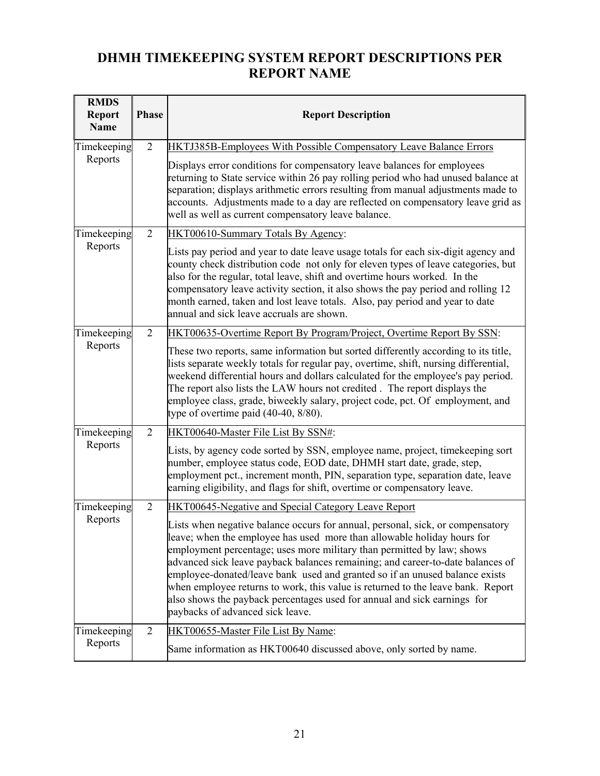## **DHMH TIMEKEEPING SYSTEM REPORT DESCRIPTIONS PER REPORT NAME**

| <b>RMDS</b><br><b>Report</b><br><b>Name</b> | <b>Phase</b>   | <b>Report Description</b>                                                                                                                                                                                                                                                                                                                                                                                                                                                                                                                                                                               |  |
|---------------------------------------------|----------------|---------------------------------------------------------------------------------------------------------------------------------------------------------------------------------------------------------------------------------------------------------------------------------------------------------------------------------------------------------------------------------------------------------------------------------------------------------------------------------------------------------------------------------------------------------------------------------------------------------|--|
| Timekeeping                                 | $\overline{2}$ | <b>HKTJ385B-Employees With Possible Compensatory Leave Balance Errors</b>                                                                                                                                                                                                                                                                                                                                                                                                                                                                                                                               |  |
| Reports                                     |                | Displays error conditions for compensatory leave balances for employees<br>returning to State service within 26 pay rolling period who had unused balance at<br>separation; displays arithmetic errors resulting from manual adjustments made to<br>accounts. Adjustments made to a day are reflected on compensatory leave grid as<br>well as well as current compensatory leave balance.                                                                                                                                                                                                              |  |
| Timekeeping                                 | 2              | HKT00610-Summary Totals By Agency:                                                                                                                                                                                                                                                                                                                                                                                                                                                                                                                                                                      |  |
| Reports                                     |                | Lists pay period and year to date leave usage totals for each six-digit agency and<br>county check distribution code not only for eleven types of leave categories, but<br>also for the regular, total leave, shift and overtime hours worked. In the<br>compensatory leave activity section, it also shows the pay period and rolling 12<br>month earned, taken and lost leave totals. Also, pay period and year to date<br>annual and sick leave accruals are shown.                                                                                                                                  |  |
| Timekeeping                                 | 2              | HKT00635-Overtime Report By Program/Project, Overtime Report By SSN:                                                                                                                                                                                                                                                                                                                                                                                                                                                                                                                                    |  |
| Reports                                     |                | These two reports, same information but sorted differently according to its title,<br>lists separate weekly totals for regular pay, overtime, shift, nursing differential,<br>weekend differential hours and dollars calculated for the employee's pay period.<br>The report also lists the LAW hours not credited. The report displays the<br>employee class, grade, biweekly salary, project code, pct. Of employment, and<br>type of overtime paid $(40-40, 8/80)$ .                                                                                                                                 |  |
| Timekeeping                                 | $\overline{2}$ | HKT00640-Master File List By SSN#:                                                                                                                                                                                                                                                                                                                                                                                                                                                                                                                                                                      |  |
| Reports                                     |                | Lists, by agency code sorted by SSN, employee name, project, timekeeping sort<br>number, employee status code, EOD date, DHMH start date, grade, step,<br>employment pct., increment month, PIN, separation type, separation date, leave<br>earning eligibility, and flags for shift, overtime or compensatory leave.                                                                                                                                                                                                                                                                                   |  |
| Timekeeping                                 | 2              | <b>HKT00645-Negative and Special Category Leave Report</b>                                                                                                                                                                                                                                                                                                                                                                                                                                                                                                                                              |  |
| Reports                                     |                | Lists when negative balance occurs for annual, personal, sick, or compensatory<br>leave; when the employee has used more than allowable holiday hours for<br>employment percentage; uses more military than permitted by law; shows<br>advanced sick leave payback balances remaining; and career-to-date balances of<br>employee-donated/leave bank used and granted so if an unused balance exists<br>when employee returns to work, this value is returned to the leave bank. Report<br>also shows the payback percentages used for annual and sick earnings for<br>paybacks of advanced sick leave. |  |
| Timekeeping                                 | $\overline{2}$ | HKT00655-Master File List By Name:                                                                                                                                                                                                                                                                                                                                                                                                                                                                                                                                                                      |  |
| Reports                                     |                | Same information as HKT00640 discussed above, only sorted by name.                                                                                                                                                                                                                                                                                                                                                                                                                                                                                                                                      |  |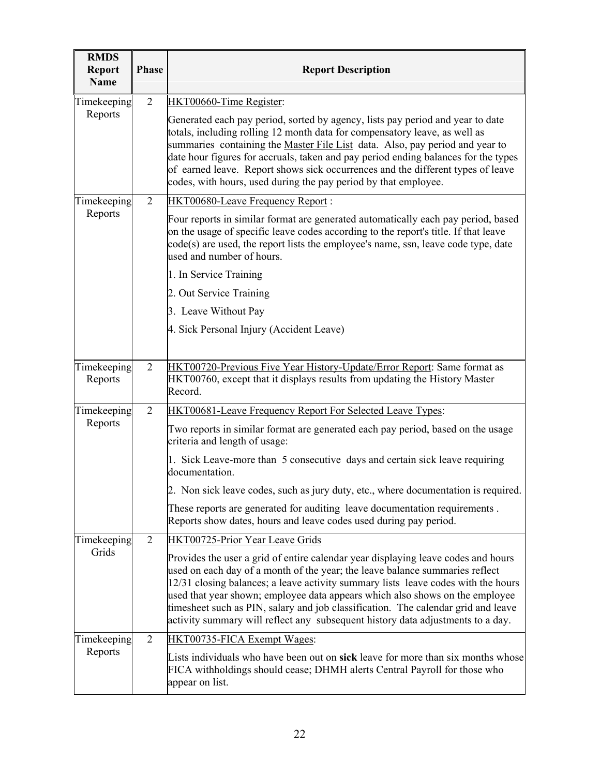| <b>RMDS</b><br><b>Report</b><br><b>Name</b> | <b>Phase</b>   | <b>Report Description</b>                                                                                                                                                                                                                                                                                                                                                                                                                                                                                      |  |  |
|---------------------------------------------|----------------|----------------------------------------------------------------------------------------------------------------------------------------------------------------------------------------------------------------------------------------------------------------------------------------------------------------------------------------------------------------------------------------------------------------------------------------------------------------------------------------------------------------|--|--|
| Timekeeping                                 | $\overline{2}$ | HKT00660-Time Register:                                                                                                                                                                                                                                                                                                                                                                                                                                                                                        |  |  |
| Reports                                     |                | Generated each pay period, sorted by agency, lists pay period and year to date<br>totals, including rolling 12 month data for compensatory leave, as well as<br>summaries containing the Master File List data. Also, pay period and year to<br>date hour figures for accruals, taken and pay period ending balances for the types<br>of earned leave. Report shows sick occurrences and the different types of leave<br>codes, with hours, used during the pay period by that employee.                       |  |  |
| Timekeeping                                 | 2              | <b>HKT00680-Leave Frequency Report:</b>                                                                                                                                                                                                                                                                                                                                                                                                                                                                        |  |  |
| Reports                                     |                | Four reports in similar format are generated automatically each pay period, based<br>on the usage of specific leave codes according to the report's title. If that leave<br>code(s) are used, the report lists the employee's name, ssn, leave code type, date<br>used and number of hours.                                                                                                                                                                                                                    |  |  |
|                                             |                | 1. In Service Training                                                                                                                                                                                                                                                                                                                                                                                                                                                                                         |  |  |
|                                             |                | 2. Out Service Training                                                                                                                                                                                                                                                                                                                                                                                                                                                                                        |  |  |
|                                             |                | 3. Leave Without Pay                                                                                                                                                                                                                                                                                                                                                                                                                                                                                           |  |  |
|                                             |                | 4. Sick Personal Injury (Accident Leave)                                                                                                                                                                                                                                                                                                                                                                                                                                                                       |  |  |
|                                             |                |                                                                                                                                                                                                                                                                                                                                                                                                                                                                                                                |  |  |
| Timekeeping<br>Reports                      | 2              | HKT00720-Previous Five Year History-Update/Error Report: Same format as<br>HKT00760, except that it displays results from updating the History Master<br>Record.                                                                                                                                                                                                                                                                                                                                               |  |  |
| Timekeeping                                 | $\overline{2}$ | <b>HKT00681-Leave Frequency Report For Selected Leave Types:</b>                                                                                                                                                                                                                                                                                                                                                                                                                                               |  |  |
| Reports                                     |                | Two reports in similar format are generated each pay period, based on the usage<br>criteria and length of usage:                                                                                                                                                                                                                                                                                                                                                                                               |  |  |
|                                             |                | 1. Sick Leave-more than 5 consecutive days and certain sick leave requiring<br>documentation.                                                                                                                                                                                                                                                                                                                                                                                                                  |  |  |
|                                             |                | 2. Non sick leave codes, such as jury duty, etc., where documentation is required.                                                                                                                                                                                                                                                                                                                                                                                                                             |  |  |
|                                             |                | These reports are generated for auditing leave documentation requirements.<br>Reports show dates, hours and leave codes used during pay period.                                                                                                                                                                                                                                                                                                                                                                |  |  |
| Timekeeping                                 | $\overline{2}$ | HKT00725-Prior Year Leave Grids                                                                                                                                                                                                                                                                                                                                                                                                                                                                                |  |  |
| Grids                                       |                | Provides the user a grid of entire calendar year displaying leave codes and hours<br>used on each day of a month of the year; the leave balance summaries reflect<br>12/31 closing balances; a leave activity summary lists leave codes with the hours<br>used that year shown; employee data appears which also shows on the employee<br>timesheet such as PIN, salary and job classification. The calendar grid and leave<br>activity summary will reflect any subsequent history data adjustments to a day. |  |  |
| Timekeeping                                 | $\overline{2}$ | HKT00735-FICA Exempt Wages:                                                                                                                                                                                                                                                                                                                                                                                                                                                                                    |  |  |
| Reports                                     |                | Lists individuals who have been out on sick leave for more than six months whose<br>FICA withholdings should cease; DHMH alerts Central Payroll for those who<br>appear on list.                                                                                                                                                                                                                                                                                                                               |  |  |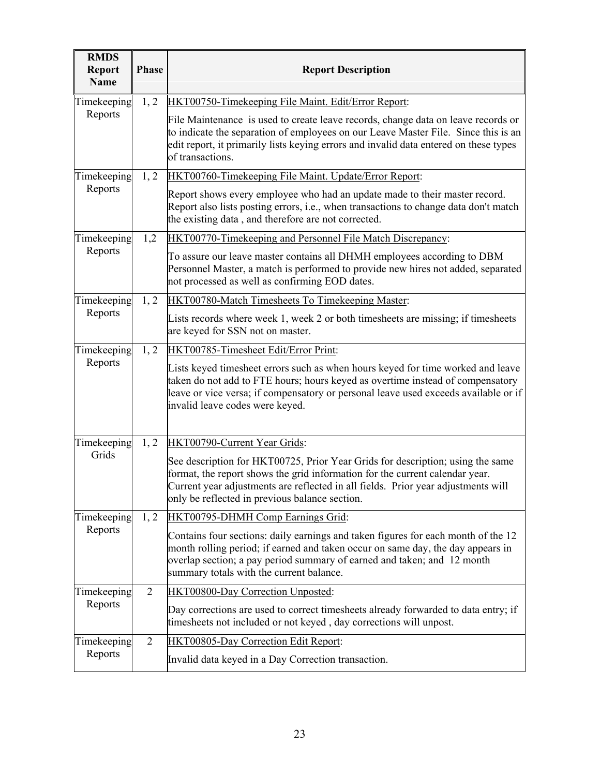| <b>RMDS</b><br><b>Report</b><br><b>Name</b> | <b>Phase</b>   | <b>Report Description</b>                                                                                                                                                                                                                                                                             |
|---------------------------------------------|----------------|-------------------------------------------------------------------------------------------------------------------------------------------------------------------------------------------------------------------------------------------------------------------------------------------------------|
| Timekeeping                                 | 1, 2           | HKT00750-Timekeeping File Maint. Edit/Error Report:                                                                                                                                                                                                                                                   |
| Reports                                     |                | File Maintenance is used to create leave records, change data on leave records or<br>to indicate the separation of employees on our Leave Master File. Since this is an<br>edit report, it primarily lists keying errors and invalid data entered on these types<br>of transactions.                  |
| Timekeeping                                 | 1, 2           | HKT00760-Timekeeping File Maint. Update/Error Report:                                                                                                                                                                                                                                                 |
| Reports                                     |                | Report shows every employee who had an update made to their master record.<br>Report also lists posting errors, i.e., when transactions to change data don't match<br>the existing data, and therefore are not corrected.                                                                             |
| Timekeeping                                 | 1,2            | <b>HKT00770-Timekeeping and Personnel File Match Discrepancy:</b>                                                                                                                                                                                                                                     |
| Reports                                     |                | To assure our leave master contains all DHMH employees according to DBM<br>Personnel Master, a match is performed to provide new hires not added, separated<br>not processed as well as confirming EOD dates.                                                                                         |
| Timekeeping                                 | 1, 2           | HKT00780-Match Timesheets To Timekeeping Master:                                                                                                                                                                                                                                                      |
| Reports                                     |                | Lists records where week 1, week 2 or both timesheets are missing; if timesheets<br>are keyed for SSN not on master.                                                                                                                                                                                  |
| Timekeeping                                 | 1, 2           | HKT00785-Timesheet Edit/Error Print:                                                                                                                                                                                                                                                                  |
| Reports                                     |                | Lists keyed timesheet errors such as when hours keyed for time worked and leave<br>taken do not add to FTE hours; hours keyed as overtime instead of compensatory<br>leave or vice versa; if compensatory or personal leave used exceeds available or if<br>invalid leave codes were keyed.           |
| Timekeeping                                 | 1, 2           | HKT00790-Current Year Grids:                                                                                                                                                                                                                                                                          |
| Grids                                       |                | See description for HKT00725, Prior Year Grids for description; using the same<br>format, the report shows the grid information for the current calendar year.<br>Current year adjustments are reflected in all fields. Prior year adjustments will<br>only be reflected in previous balance section. |
| Timekeeping                                 | 1, 2           | HKT00795-DHMH Comp Earnings Grid:                                                                                                                                                                                                                                                                     |
| Reports                                     |                | Contains four sections: daily earnings and taken figures for each month of the 12<br>month rolling period; if earned and taken occur on same day, the day appears in<br>overlap section; a pay period summary of earned and taken; and 12 month<br>summary totals with the current balance.           |
| Timekeeping                                 | 2              | HKT00800-Day Correction Unposted:                                                                                                                                                                                                                                                                     |
| Reports                                     |                | Day corrections are used to correct timesheets already forwarded to data entry; if<br>timesheets not included or not keyed, day corrections will unpost.                                                                                                                                              |
| Timekeeping                                 | $\overline{2}$ | HKT00805-Day Correction Edit Report:                                                                                                                                                                                                                                                                  |
| Reports                                     |                | Invalid data keyed in a Day Correction transaction.                                                                                                                                                                                                                                                   |